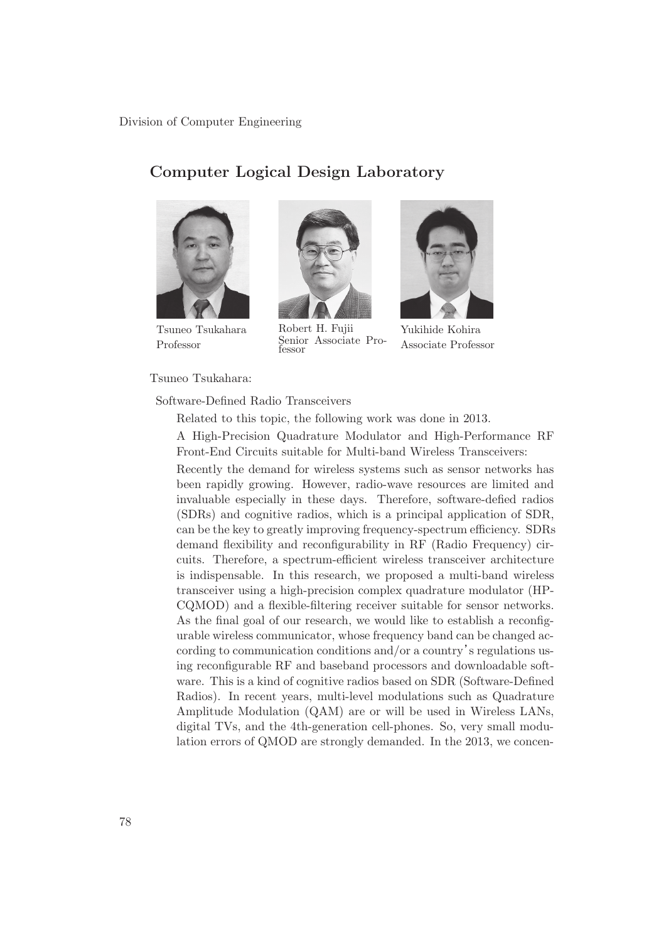Division of Computer Engineering

# **Computer Logical Design Laboratory**



Tsuneo Tsukahara Professor

Tsuneo Tsukahara:



Robert H. Fujii Senior Associate Professor



Yukihide Kohira Associate Professor

# Software-Defined Radio Transceivers

Related to this topic, the following work was done in 2013.

A High-Precision Quadrature Modulator and High-Performance RF Front-End Circuits suitable for Multi-band Wireless Transceivers:

Recently the demand for wireless systems such as sensor networks has been rapidly growing. However, radio-wave resources are limited and invaluable especially in these days. Therefore, software-defied radios (SDRs) and cognitive radios, which is a principal application of SDR, can be the key to greatly improving frequency-spectrum efficiency. SDRs demand flexibility and reconfigurability in RF (Radio Frequency) circuits. Therefore, a spectrum-efficient wireless transceiver architecture is indispensable. In this research, we proposed a multi-band wireless transceiver using a high-precision complex quadrature modulator (HP-CQMOD) and a flexible-filtering receiver suitable for sensor networks. As the final goal of our research, we would like to establish a reconfigurable wireless communicator, whose frequency band can be changed according to communication conditions and/or a country's regulations using reconfigurable RF and baseband processors and downloadable software. This is a kind of cognitive radios based on SDR (Software-Defined Radios). In recent years, multi-level modulations such as Quadrature Amplitude Modulation (QAM) are or will be used in Wireless LANs, digital TVs, and the 4th-generation cell-phones. So, very small modulation errors of QMOD are strongly demanded. In the 2013, we concen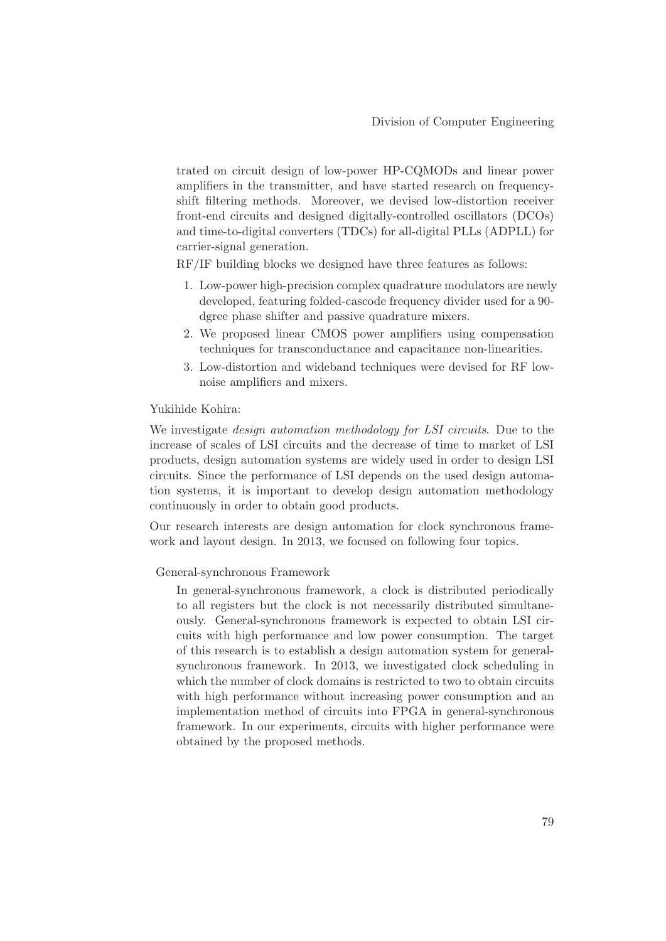trated on circuit design of low-power HP-CQMODs and linear power amplifiers in the transmitter, and have started research on frequencyshift filtering methods. Moreover, we devised low-distortion receiver front-end circuits and designed digitally-controlled oscillators (DCOs) and time-to-digital converters (TDCs) for all-digital PLLs (ADPLL) for carrier-signal generation.

RF/IF building blocks we designed have three features as follows:

- 1. Low-power high-precision complex quadrature modulators are newly developed, featuring folded-cascode frequency divider used for a 90 dgree phase shifter and passive quadrature mixers.
- 2. We proposed linear CMOS power amplifiers using compensation techniques for transconductance and capacitance non-linearities.
- 3. Low-distortion and wideband techniques were devised for RF lownoise amplifiers and mixers.

Yukihide Kohira:

We investigate *design automation methodology for LSI circuits*. Due to the increase of scales of LSI circuits and the decrease of time to market of LSI products, design automation systems are widely used in order to design LSI circuits. Since the performance of LSI depends on the used design automation systems, it is important to develop design automation methodology continuously in order to obtain good products.

Our research interests are design automation for clock synchronous framework and layout design. In 2013, we focused on following four topics.

#### General-synchronous Framework

In general-synchronous framework, a clock is distributed periodically to all registers but the clock is not necessarily distributed simultaneously. General-synchronous framework is expected to obtain LSI circuits with high performance and low power consumption. The target of this research is to establish a design automation system for generalsynchronous framework. In 2013, we investigated clock scheduling in which the number of clock domains is restricted to two to obtain circuits with high performance without increasing power consumption and an implementation method of circuits into FPGA in general-synchronous framework. In our experiments, circuits with higher performance were obtained by the proposed methods.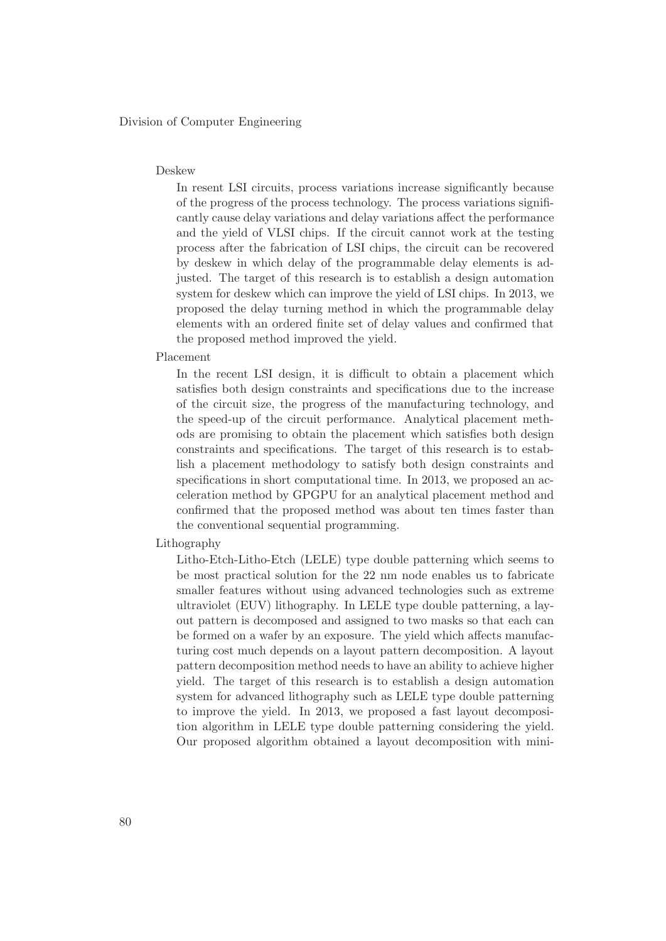Division of Computer Engineering

#### Deskew

In resent LSI circuits, process variations increase significantly because of the progress of the process technology. The process variations significantly cause delay variations and delay variations affect the performance and the yield of VLSI chips. If the circuit cannot work at the testing process after the fabrication of LSI chips, the circuit can be recovered by deskew in which delay of the programmable delay elements is adjusted. The target of this research is to establish a design automation system for deskew which can improve the yield of LSI chips. In 2013, we proposed the delay turning method in which the programmable delay elements with an ordered finite set of delay values and confirmed that the proposed method improved the yield.

#### Placement

In the recent LSI design, it is difficult to obtain a placement which satisfies both design constraints and specifications due to the increase of the circuit size, the progress of the manufacturing technology, and the speed-up of the circuit performance. Analytical placement methods are promising to obtain the placement which satisfies both design constraints and specifications. The target of this research is to establish a placement methodology to satisfy both design constraints and specifications in short computational time. In 2013, we proposed an acceleration method by GPGPU for an analytical placement method and confirmed that the proposed method was about ten times faster than the conventional sequential programming.

## Lithography

Litho-Etch-Litho-Etch (LELE) type double patterning which seems to be most practical solution for the 22 nm node enables us to fabricate smaller features without using advanced technologies such as extreme ultraviolet (EUV) lithography. In LELE type double patterning, a layout pattern is decomposed and assigned to two masks so that each can be formed on a wafer by an exposure. The yield which affects manufacturing cost much depends on a layout pattern decomposition. A layout pattern decomposition method needs to have an ability to achieve higher yield. The target of this research is to establish a design automation system for advanced lithography such as LELE type double patterning to improve the yield. In 2013, we proposed a fast layout decomposition algorithm in LELE type double patterning considering the yield. Our proposed algorithm obtained a layout decomposition with mini-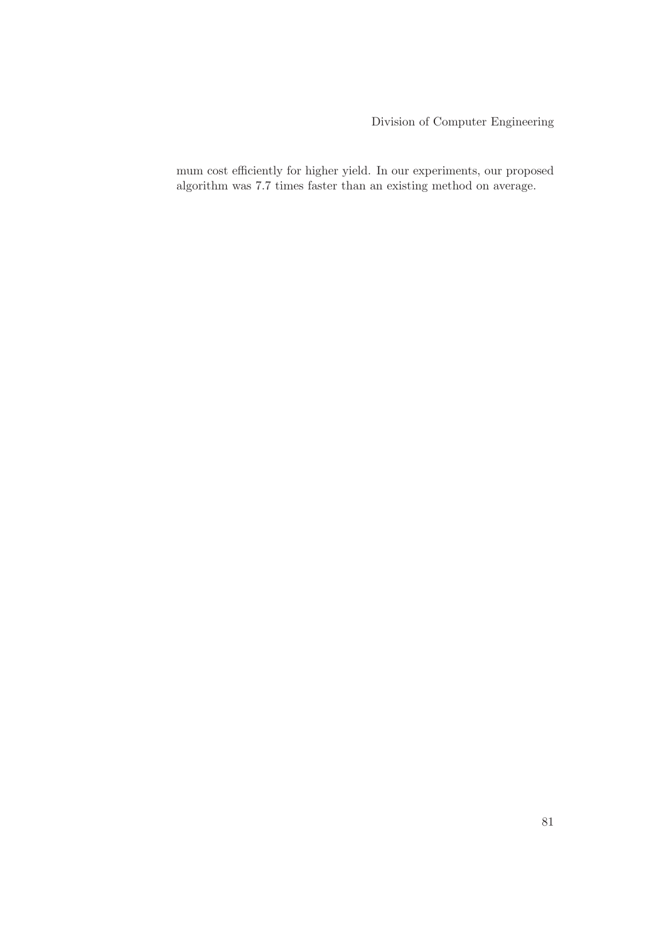Division of Computer Engineering

mum cost efficiently for higher yield. In our experiments, our proposed algorithm was 7.7 times faster than an existing method on average.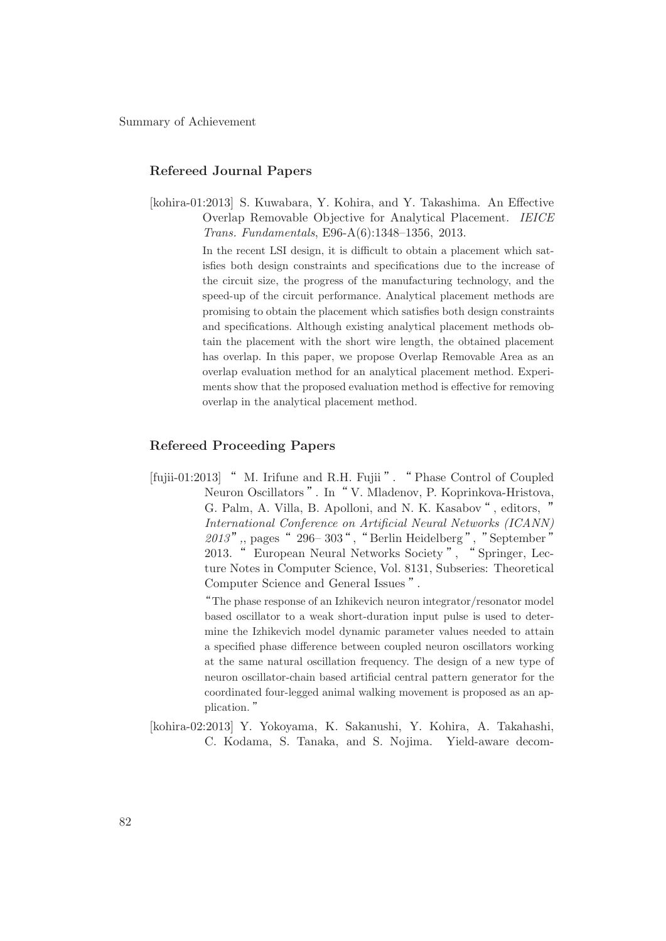## **Refereed Journal Papers**

[kohira-01:2013] S. Kuwabara, Y. Kohira, and Y. Takashima. An Effective Overlap Removable Objective for Analytical Placement. *IEICE Trans. Fundamentals*, E96-A(6):1348–1356, 2013.

> In the recent LSI design, it is difficult to obtain a placement which satisfies both design constraints and specifications due to the increase of the circuit size, the progress of the manufacturing technology, and the speed-up of the circuit performance. Analytical placement methods are promising to obtain the placement which satisfies both design constraints and specifications. Although existing analytical placement methods obtain the placement with the short wire length, the obtained placement has overlap. In this paper, we propose Overlap Removable Area as an overlap evaluation method for an analytical placement method. Experiments show that the proposed evaluation method is effective for removing overlap in the analytical placement method.

## **Refereed Proceeding Papers**

[fujii-01:2013] " M. Irifune and R.H. Fujii ". " Phase Control of Coupled Neuron Oscillators". In "V. Mladenov, P. Koprinkova-Hristova, G. Palm, A. Villa, B. Apolloni, and N. K. Kasabov", editors, " *International Conference on Artificial Neural Networks (ICANN)* 2013", pages " 296–303", "Berlin Heidelberg", "September" 2013. " European Neural Networks Society", "Springer, Lecture Notes in Computer Science, Vol. 8131, Subseries: Theoretical Computer Science and General Issues".

> ʠThe phase response of an Izhikevich neuron integrator/resonator model based oscillator to a weak short-duration input pulse is used to determine the Izhikevich model dynamic parameter values needed to attain a specified phase difference between coupled neuron oscillators working at the same natural oscillation frequency. The design of a new type of neuron oscillator-chain based artificial central pattern generator for the coordinated four-legged animal walking movement is proposed as an application."

[kohira-02:2013] Y. Yokoyama, K. Sakanushi, Y. Kohira, A. Takahashi, C. Kodama, S. Tanaka, and S. Nojima. Yield-aware decom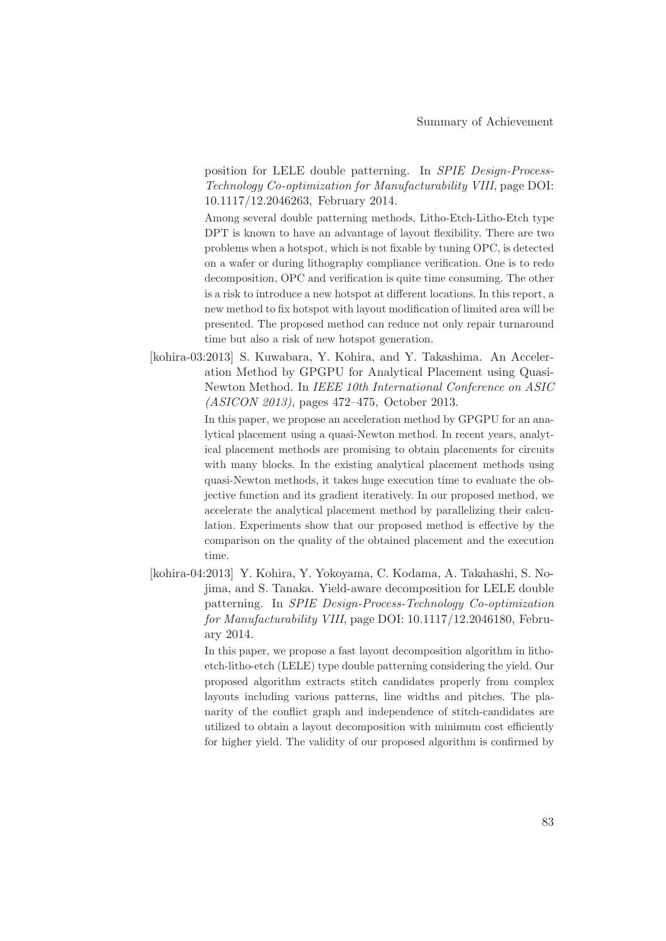position for LELE double patterning. In *SPIE Design-Process-Technology Co-optimization for Manufacturability VIII*, page DOI: 10.1117/12.2046263, February 2014.

Among several double patterning methods, Litho-Etch-Litho-Etch type DPT is known to have an advantage of layout flexibility. There are two problems when a hotspot, which is not fixable by tuning OPC, is detected on a wafer or during lithography compliance verification. One is to redo decomposition, OPC and verification is quite time consuming. The other is a risk to introduce a new hotspot at different locations. In this report, a new method to fix hotspot with layout modification of limited area will be presented. The proposed method can reduce not only repair turnaround time but also a risk of new hotspot generation.

[kohira-03:2013] S. Kuwabara, Y. Kohira, and Y. Takashima. An Acceleration Method by GPGPU for Analytical Placement using Quasi-Newton Method. In *IEEE 10th International Conference on ASIC (ASICON 2013)*, pages 472–475, October 2013.

> In this paper, we propose an acceleration method by GPGPU for an analytical placement using a quasi-Newton method. In recent years, analytical placement methods are promising to obtain placements for circuits with many blocks. In the existing analytical placement methods using quasi-Newton methods, it takes huge execution time to evaluate the objective function and its gradient iteratively. In our proposed method, we accelerate the analytical placement method by parallelizing their calculation. Experiments show that our proposed method is effective by the comparison on the quality of the obtained placement and the execution time.

[kohira-04:2013] Y. Kohira, Y. Yokoyama, C. Kodama, A. Takahashi, S. Nojima, and S. Tanaka. Yield-aware decomposition for LELE double patterning. In *SPIE Design-Process-Technology Co-optimization for Manufacturability VIII*, page DOI: 10.1117/12.2046180, February 2014.

> In this paper, we propose a fast layout decomposition algorithm in lithoetch-litho-etch (LELE) type double patterning considering the yield. Our proposed algorithm extracts stitch candidates properly from complex layouts including various patterns, line widths and pitches. The planarity of the conflict graph and independence of stitch-candidates are utilized to obtain a layout decomposition with minimum cost efficiently for higher yield. The validity of our proposed algorithm is confirmed by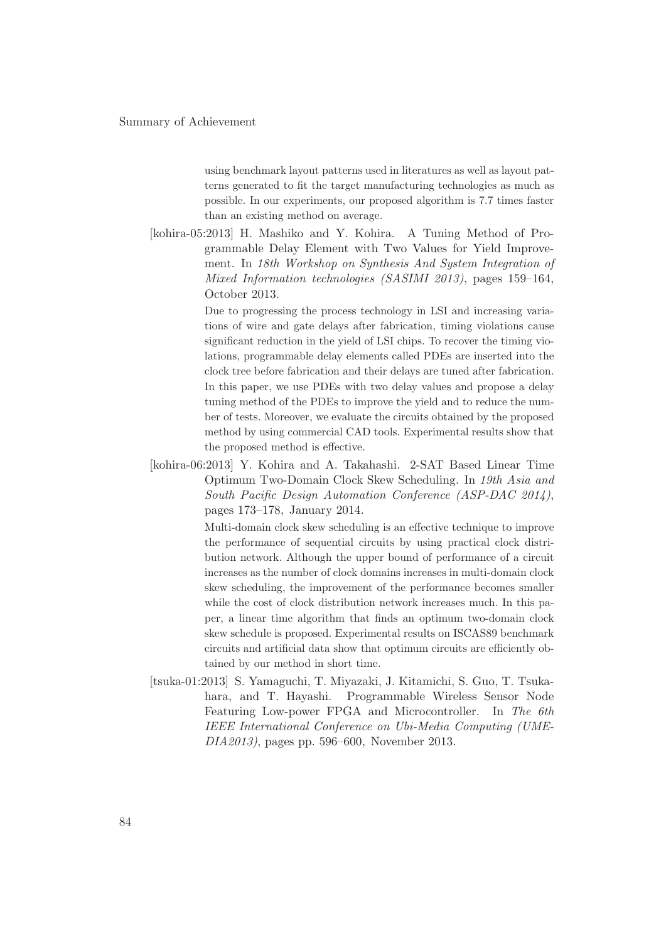using benchmark layout patterns used in literatures as well as layout patterns generated to fit the target manufacturing technologies as much as possible. In our experiments, our proposed algorithm is 7.7 times faster than an existing method on average.

[kohira-05:2013] H. Mashiko and Y. Kohira. A Tuning Method of Programmable Delay Element with Two Values for Yield Improvement. In *18th Workshop on Synthesis And System Integration of Mixed Information technologies (SASIMI 2013)*, pages 159–164, October 2013.

> Due to progressing the process technology in LSI and increasing variations of wire and gate delays after fabrication, timing violations cause significant reduction in the yield of LSI chips. To recover the timing violations, programmable delay elements called PDEs are inserted into the clock tree before fabrication and their delays are tuned after fabrication. In this paper, we use PDEs with two delay values and propose a delay tuning method of the PDEs to improve the yield and to reduce the number of tests. Moreover, we evaluate the circuits obtained by the proposed method by using commercial CAD tools. Experimental results show that the proposed method is effective.

[kohira-06:2013] Y. Kohira and A. Takahashi. 2-SAT Based Linear Time Optimum Two-Domain Clock Skew Scheduling. In *19th Asia and South Pacific Design Automation Conference (ASP-DAC 2014)*, pages 173–178, January 2014.

> Multi-domain clock skew scheduling is an effective technique to improve the performance of sequential circuits by using practical clock distribution network. Although the upper bound of performance of a circuit increases as the number of clock domains increases in multi-domain clock skew scheduling, the improvement of the performance becomes smaller while the cost of clock distribution network increases much. In this paper, a linear time algorithm that finds an optimum two-domain clock skew schedule is proposed. Experimental results on ISCAS89 benchmark circuits and artificial data show that optimum circuits are efficiently obtained by our method in short time.

[tsuka-01:2013] S. Yamaguchi, T. Miyazaki, J. Kitamichi, S. Guo, T. Tsukahara, and T. Hayashi. Programmable Wireless Sensor Node Featuring Low-power FPGA and Microcontroller. In *The 6th IEEE International Conference on Ubi-Media Computing (UME-DIA2013)*, pages pp. 596–600, November 2013.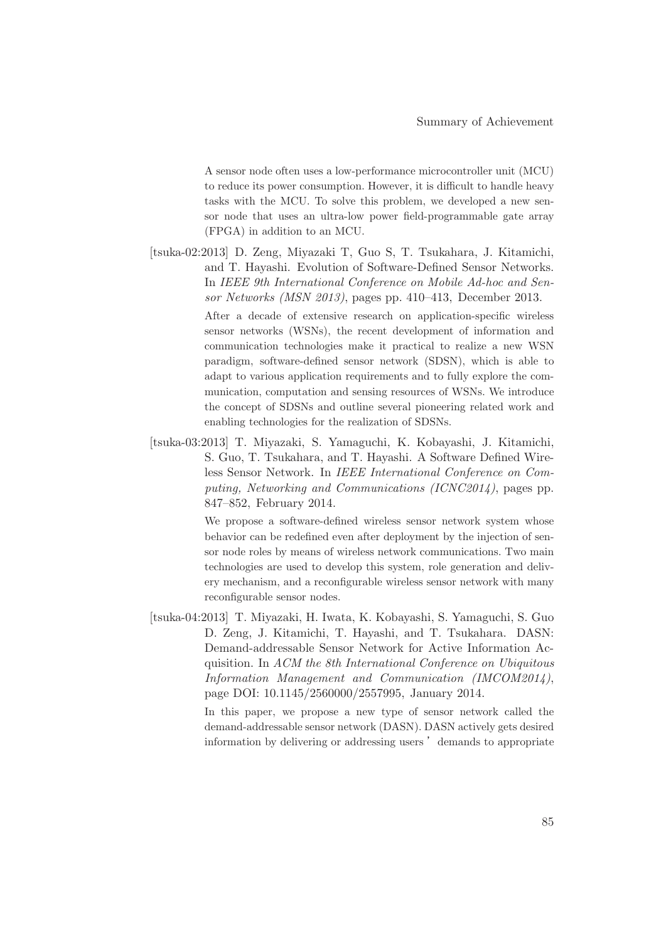A sensor node often uses a low-performance microcontroller unit (MCU) to reduce its power consumption. However, it is difficult to handle heavy tasks with the MCU. To solve this problem, we developed a new sensor node that uses an ultra-low power field-programmable gate array (FPGA) in addition to an MCU.

[tsuka-02:2013] D. Zeng, Miyazaki T, Guo S, T. Tsukahara, J. Kitamichi, and T. Hayashi. Evolution of Software-Defined Sensor Networks. In *IEEE 9th International Conference on Mobile Ad-hoc and Sensor Networks (MSN 2013)*, pages pp. 410–413, December 2013.

> After a decade of extensive research on application-specific wireless sensor networks (WSNs), the recent development of information and communication technologies make it practical to realize a new WSN paradigm, software-defined sensor network (SDSN), which is able to adapt to various application requirements and to fully explore the communication, computation and sensing resources of WSNs. We introduce the concept of SDSNs and outline several pioneering related work and enabling technologies for the realization of SDSNs.

[tsuka-03:2013] T. Miyazaki, S. Yamaguchi, K. Kobayashi, J. Kitamichi, S. Guo, T. Tsukahara, and T. Hayashi. A Software Defined Wireless Sensor Network. In *IEEE International Conference on Computing, Networking and Communications (ICNC2014)*, pages pp. 847–852, February 2014.

> We propose a software-defined wireless sensor network system whose behavior can be redefined even after deployment by the injection of sensor node roles by means of wireless network communications. Two main technologies are used to develop this system, role generation and delivery mechanism, and a reconfigurable wireless sensor network with many reconfigurable sensor nodes.

[tsuka-04:2013] T. Miyazaki, H. Iwata, K. Kobayashi, S. Yamaguchi, S. Guo D. Zeng, J. Kitamichi, T. Hayashi, and T. Tsukahara. DASN: Demand-addressable Sensor Network for Active Information Acquisition. In *ACM the 8th International Conference on Ubiquitous Information Management and Communication (IMCOM2014)*, page DOI: 10.1145/2560000/2557995, January 2014.

> In this paper, we propose a new type of sensor network called the demand-addressable sensor network (DASN). DASN actively gets desired information by delivering or addressing users  $'$  demands to appropriate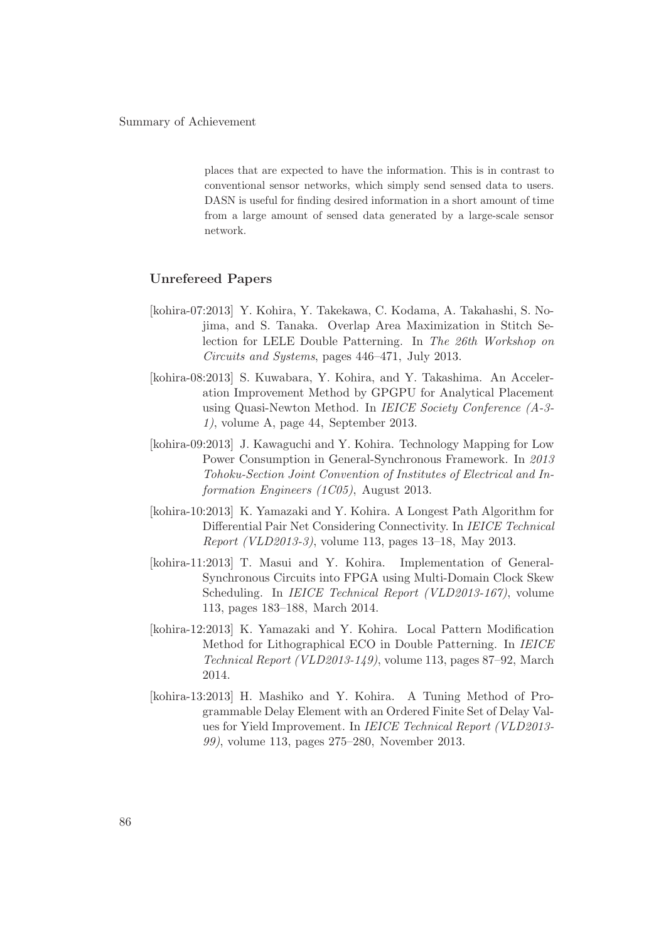places that are expected to have the information. This is in contrast to conventional sensor networks, which simply send sensed data to users. DASN is useful for finding desired information in a short amount of time from a large amount of sensed data generated by a large-scale sensor network.

## **Unrefereed Papers**

- [kohira-07:2013] Y. Kohira, Y. Takekawa, C. Kodama, A. Takahashi, S. Nojima, and S. Tanaka. Overlap Area Maximization in Stitch Selection for LELE Double Patterning. In *The 26th Workshop on Circuits and Systems*, pages 446–471, July 2013.
- [kohira-08:2013] S. Kuwabara, Y. Kohira, and Y. Takashima. An Acceleration Improvement Method by GPGPU for Analytical Placement using Quasi-Newton Method. In *IEICE Society Conference (A-3- 1)*, volume A, page 44, September 2013.
- [kohira-09:2013] J. Kawaguchi and Y. Kohira. Technology Mapping for Low Power Consumption in General-Synchronous Framework. In *2013 Tohoku-Section Joint Convention of Institutes of Electrical and Information Engineers (1C05)*, August 2013.
- [kohira-10:2013] K. Yamazaki and Y. Kohira. A Longest Path Algorithm for Differential Pair Net Considering Connectivity. In *IEICE Technical Report (VLD2013-3)*, volume 113, pages 13–18, May 2013.
- [kohira-11:2013] T. Masui and Y. Kohira. Implementation of General-Synchronous Circuits into FPGA using Multi-Domain Clock Skew Scheduling. In *IEICE Technical Report (VLD2013-167)*, volume 113, pages 183–188, March 2014.
- [kohira-12:2013] K. Yamazaki and Y. Kohira. Local Pattern Modification Method for Lithographical ECO in Double Patterning. In *IEICE Technical Report (VLD2013-149)*, volume 113, pages 87–92, March 2014.
- [kohira-13:2013] H. Mashiko and Y. Kohira. A Tuning Method of Programmable Delay Element with an Ordered Finite Set of Delay Values for Yield Improvement. In *IEICE Technical Report (VLD2013- 99)*, volume 113, pages 275–280, November 2013.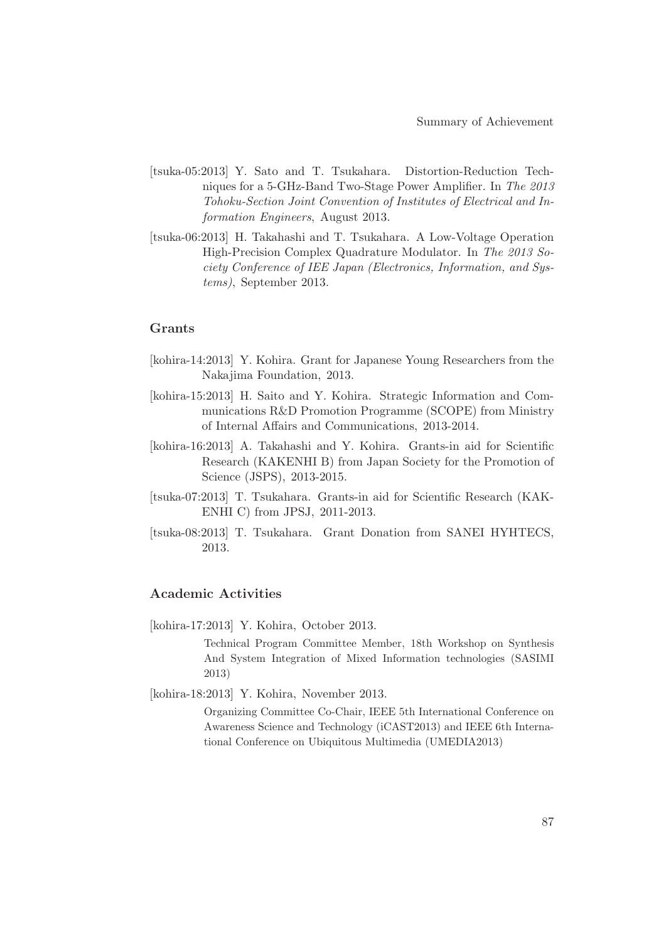- [tsuka-05:2013] Y. Sato and T. Tsukahara. Distortion-Reduction Techniques for a 5-GHz-Band Two-Stage Power Amplifier. In *The 2013 Tohoku-Section Joint Convention of Institutes of Electrical and Information Engineers*, August 2013.
- [tsuka-06:2013] H. Takahashi and T. Tsukahara. A Low-Voltage Operation High-Precision Complex Quadrature Modulator. In *The 2013 Society Conference of IEE Japan (Electronics, Information, and Systems)*, September 2013.

## **Grants**

- [kohira-14:2013] Y. Kohira. Grant for Japanese Young Researchers from the Nakajima Foundation, 2013.
- [kohira-15:2013] H. Saito and Y. Kohira. Strategic Information and Communications R&D Promotion Programme (SCOPE) from Ministry of Internal Affairs and Communications, 2013-2014.
- [kohira-16:2013] A. Takahashi and Y. Kohira. Grants-in aid for Scientific Research (KAKENHI B) from Japan Society for the Promotion of Science (JSPS), 2013-2015.
- [tsuka-07:2013] T. Tsukahara. Grants-in aid for Scientific Research (KAK-ENHI C) from JPSJ, 2011-2013.
- [tsuka-08:2013] T. Tsukahara. Grant Donation from SANEI HYHTECS, 2013.

## **Academic Activities**

[kohira-17:2013] Y. Kohira, October 2013.

Technical Program Committee Member, 18th Workshop on Synthesis And System Integration of Mixed Information technologies (SASIMI 2013)

[kohira-18:2013] Y. Kohira, November 2013.

Organizing Committee Co-Chair, IEEE 5th International Conference on Awareness Science and Technology (iCAST2013) and IEEE 6th International Conference on Ubiquitous Multimedia (UMEDIA2013)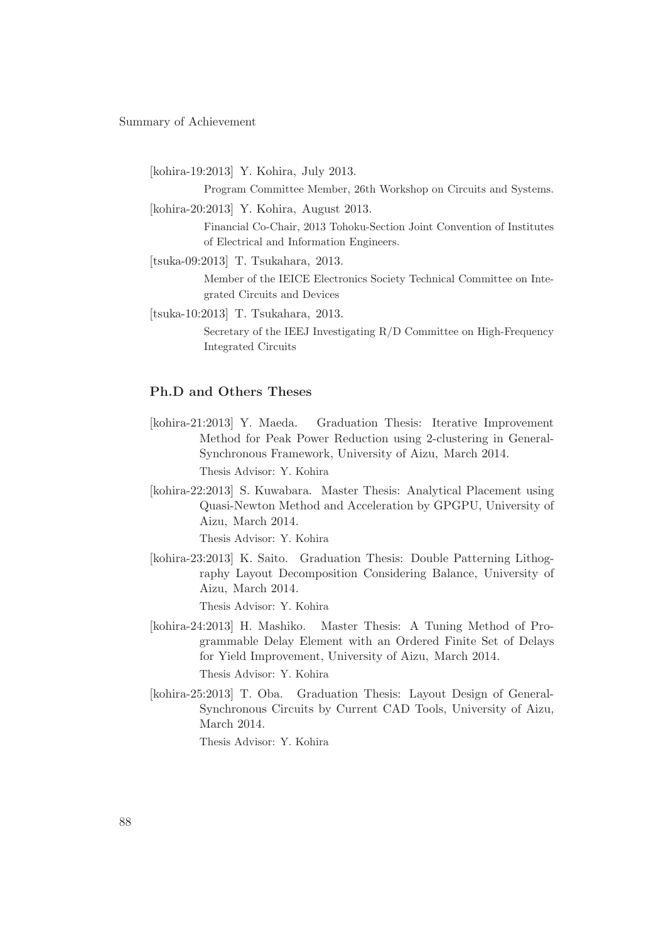Summary of Achievement

[kohira-19:2013] Y. Kohira, July 2013.

Program Committee Member, 26th Workshop on Circuits and Systems.

[kohira-20:2013] Y. Kohira, August 2013.

Financial Co-Chair, 2013 Tohoku-Section Joint Convention of Institutes of Electrical and Information Engineers.

[tsuka-09:2013] T. Tsukahara, 2013.

Member of the IEICE Electronics Society Technical Committee on Integrated Circuits and Devices

[tsuka-10:2013] T. Tsukahara, 2013.

Secretary of the IEEJ Investigating R/D Committee on High-Frequency Integrated Circuits

# **Ph.D and Others Theses**

- [kohira-21:2013] Y. Maeda. Graduation Thesis: Iterative Improvement Method for Peak Power Reduction using 2-clustering in General-Synchronous Framework, University of Aizu, March 2014. Thesis Advisor: Y. Kohira
- [kohira-22:2013] S. Kuwabara. Master Thesis: Analytical Placement using Quasi-Newton Method and Acceleration by GPGPU, University of Aizu, March 2014.

Thesis Advisor: Y. Kohira

[kohira-23:2013] K. Saito. Graduation Thesis: Double Patterning Lithography Layout Decomposition Considering Balance, University of Aizu, March 2014.

Thesis Advisor: Y. Kohira

- [kohira-24:2013] H. Mashiko. Master Thesis: A Tuning Method of Programmable Delay Element with an Ordered Finite Set of Delays for Yield Improvement, University of Aizu, March 2014. Thesis Advisor: Y. Kohira
- [kohira-25:2013] T. Oba. Graduation Thesis: Layout Design of General-Synchronous Circuits by Current CAD Tools, University of Aizu, March 2014.

Thesis Advisor: Y. Kohira